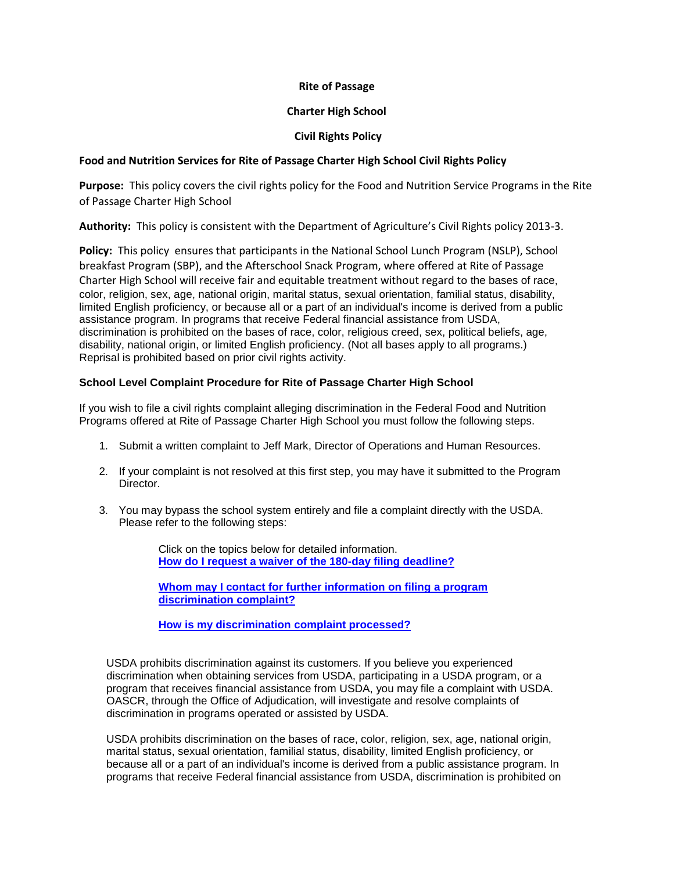### **Rite of Passage**

# **Charter High School**

# **Civil Rights Policy**

# **Food and Nutrition Services for Rite of Passage Charter High School Civil Rights Policy**

**Purpose:** This policy covers the civil rights policy for the Food and Nutrition Service Programs in the Rite of Passage Charter High School

**Authority:** This policy is consistent with the Department of Agriculture's Civil Rights policy 2013-3.

**Policy:** This policy ensures that participants in the National School Lunch Program (NSLP), School breakfast Program (SBP), and the Afterschool Snack Program, where offered at Rite of Passage Charter High School will receive fair and equitable treatment without regard to the bases of race, color, religion, sex, age, national origin, marital status, sexual orientation, familial status, disability, limited English proficiency, or because all or a part of an individual's income is derived from a public assistance program. In programs that receive Federal financial assistance from USDA, discrimination is prohibited on the bases of race, color, religious creed, sex, political beliefs, age, disability, national origin, or limited English proficiency. (Not all bases apply to all programs.) Reprisal is prohibited based on prior civil rights activity.

### **School Level Complaint Procedure for Rite of Passage Charter High School**

If you wish to file a civil rights complaint alleging discrimination in the Federal Food and Nutrition Programs offered at Rite of Passage Charter High School you must follow the following steps.

- 1. Submit a written complaint to Jeff Mark, Director of Operations and Human Resources.
- 2. If your complaint is not resolved at this first step, you may have it submitted to the Program Director.
- 3. You may bypass the school system entirely and file a complaint directly with the USDA. Please refer to the following steps:

Click on the topics below for detailed information. **[How do I request a waiver of the 180-day filing deadline?](http://www.ascr.usda.gov/complaint_filing_cust.html#deadline_waiver)**

**[Whom may I contact for further information on filing a program](http://www.ascr.usda.gov/complaint_filing_cust.html#contact)  [discrimination complaint?](http://www.ascr.usda.gov/complaint_filing_cust.html#contact)**

**[How is my discrimination complaint processed?](http://www.ascr.usda.gov/complaint_filing_cust.html#processing)**

USDA prohibits discrimination against its customers. If you believe you experienced discrimination when obtaining services from USDA, participating in a USDA program, or a program that receives financial assistance from USDA, you may file a complaint with USDA. OASCR, through the Office of Adjudication, will investigate and resolve complaints of discrimination in programs operated or assisted by USDA.

USDA prohibits discrimination on the bases of race, color, religion, sex, age, national origin, marital status, sexual orientation, familial status, disability, limited English proficiency, or because all or a part of an individual's income is derived from a public assistance program. In programs that receive Federal financial assistance from USDA, discrimination is prohibited on